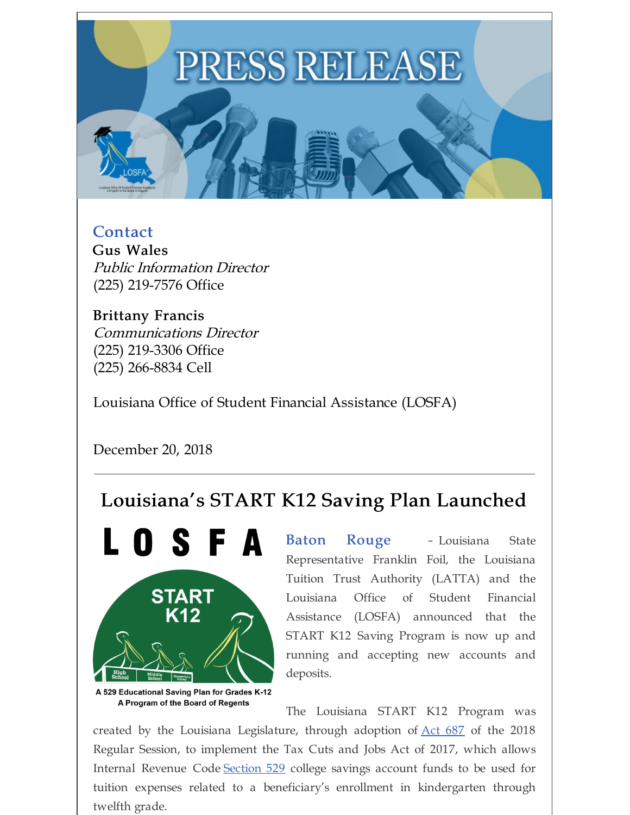## PRESS RELEASE

Contact Gus Wales Public Information Director (225) 219-7576 Office

Brittany Francis Communications Director (225) 219-3306 Office (225) 266-8834 Cell

Louisiana Office of Student Financial Assistance (LOSFA)

December 20, 2018

## Louisiana's START K12 Saving Plan Launched



A 529 Educational Saving Plan for Grades K-12 A Program of the Board of Regents

Baton Rouge - Louisiana State Representative Franklin Foil, the Louisiana Tuition Trust Authority (LATTA) and the Louisiana Office of Student Financial Assistance (LOSFA) announced that the START K12 Saving Program is now up and running and accepting new accounts and deposits.

The Louisiana START K12 Program was

created by the Louisiana Legislature, through adoption of  $\Delta ct$  687 of the 2018 Regular Session, to implement the Tax Cuts and Jobs Act of 2017, which allows Internal Revenue Code [Section](https://www.law.cornell.edu/uscode/text/26/529#) 529 college savings account funds to be used for tuition expenses related to a beneficiary's enrollment in kindergarten through twelfth grade.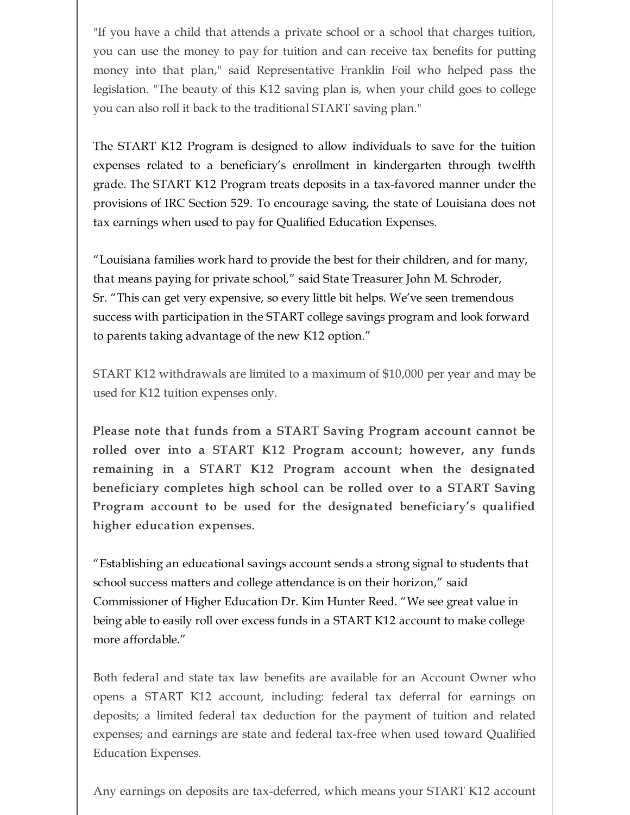"If you have a child that attends a private school or a school that charges tuition, you can use the money to pay for tuition and can receive tax benefits for putting money into that plan," said Representative Franklin Foil who helped pass the legislation. "The beauty of this K12 saving plan is, when your child goes to college you can also roll it back to the traditional START saving plan."

The START K12 Program is designed to allow individuals to save for the tuition expenses related to a beneficiary's enrollment in kindergarten through twelfth grade. The START K12 Program treats deposits in a tax-favored manner under the provisions of IRC Section 529. To encourage saving, the state of Louisiana does not tax earnings when used to pay for Qualified Education Expenses.

"Louisiana families work hard to provide the best for their children, and for many, that means paying for private school," said State Treasurer John M. Schroder, Sr. "This can get very expensive, so every little bit helps. We've seen tremendous success with participation in the START college savings program and look forward to parents taking advantage of the new K12 option."

START K12 withdrawals are limited to a maximum of \$10,000 per year and may be used for K12 tuition expenses only.

Please note that funds from a START Saving Program account cannot be rolled over into a START K12 Program account; however, any funds remaining in a START K12 Program account when the designated beneficiary completes high school can be rolled over to a START Saving Program account to be used for the designated beneficiary's qualified higher education expenses.

"Establishing an educational savings account sends a strong signal to students that school success matters and college attendance is on their horizon," said Commissioner of Higher Education Dr. Kim Hunter Reed. "We see great value in being able to easily roll over excess funds in a START K12 account to make college more affordable."

Both federal and state tax law benefits are available for an Account Owner who opens a START K12 account, including: federal tax deferral for earnings on deposits; a limited federal tax deduction for the payment of tuition and related expenses; and earnings are state and federal tax-free when used toward Qualified Education Expenses.

Any earnings on deposits are tax-deferred, which means your START K12 account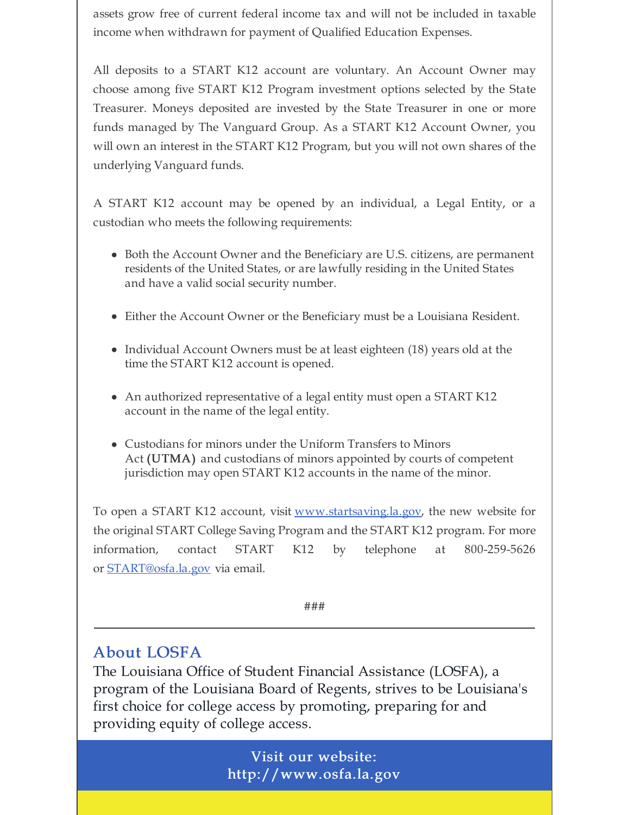assets grow free of current federal income tax and will not be included in taxable income when withdrawn for payment of Qualified Education Expenses.

All deposits to a START K12 account are voluntary. An Account Owner may choose among five START K12 Program investment options selected by the State Treasurer. Moneys deposited are invested by the State Treasurer in one or more funds managed by The Vanguard Group. As a START K12 Account Owner, you will own an interest in the START K12 Program, but you will not own shares of the underlying Vanguard funds.

A START K12 account may be opened by an individual, a Legal Entity, or a custodian who meets the following requirements:

- Both the Account Owner and the Beneficiary are U.S. citizens, are permanent residents of the United States, or are lawfully residing in the United States and have a valid social security number.
- Either the Account Owner or the Beneficiary must be a Louisiana Resident.
- Individual Account Owners must be at least eighteen (18) years old at the time the START K12 account is opened.
- An authorized representative of a legal entity must open a START K12 account in the name of the legal entity.
- Custodians for minors under the Uniform Transfers to Minors Act (UTMA) and custodians of minors appointed by courts of competent jurisdiction may open START K12 accounts in the name of the minor.

To open a START K12 account, visit [www.startsaving.la.gov](http://www.startsaving.la.gov/), the new website for the original START College Saving Program and the START K12 program. For more information, contact START K12 by telephone at 800-259-5626 or **[START@osfa.la.gov](mailto:START@osfa.la.gov)** via email.

###

## About LOSFA

The Louisiana Office of Student Financial Assistance (LOSFA), a program of the Louisiana Board of Regents, strives to be Louisiana's first choice for college access by promoting, preparing for and providing equity of college access.

> Visit our website: http://www.osfa.la.gov